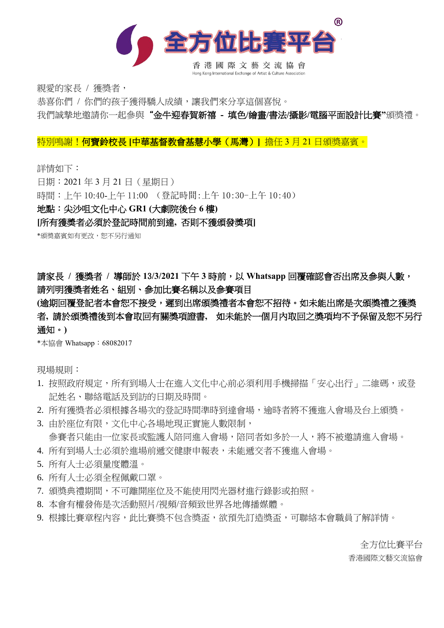

親愛的家長 / 獲獎者,

恭喜你們 / 你們的孩子獲得驕人成績,讓我們來分享這個喜悅。

我們誠摯地邀請你一起參與"金牛迎春賀新禧 **-** 填色**/**繪畫**/**書法**/**攝影**/**電腦平面設計比賽**"**頒獎禮。

特別鳴謝!何寶鈴校長 **[**中華基督教會基慧小學(馬灣)**]** 擔任 3 月 21 日頒獎嘉賓。

詳情如下:

日期:2021 年 3 月 21 日(星期日)

時間:上午 10:40-上午 11:00 (登記時間:上午 10:30-上午 10:40)

#### 地點:尖沙咀文化中心 **GR1 (**大劇院後台 **6** 樓**)**

**[**所有獲奬者必須於登記時間前到達**,** 否則不獲頒發奬項**]**

\*頒奬嘉賓如有更改,恕不另行通知

請家長 **/** 獲獎者 **/** 導師於 **1**3**/3/2021** 下午 **3** 時前,以 **Whatsapp** 回覆確認會否出席及參與人數, 請列明獲獎者姓名、組别、參加比賽名稱以及參賽項目

#### (逾期回覆登記者本會恕不接受,遲到出席頒獎禮者本會恕不招待。如未能出席是次頒獎禮之獲獎 者**,** 請於頒獎禮後到本會取回有關獎項證書**,** 如未能於一個月內取回之獎項均不予保留及恕不另行 通知。**)**

\*本協會 Whatsapp:68082017

現場規則:

- 1. 按照政府規定,所有到場人士在進入文化中心前必須利用手機掃描「安心出行」二維碼,或登 記姓名、聯絡電話及到訪的日期及時間。
- 2. 所有獲獎者必須根據各場次的登記時間準時到達會場,逾時者將不獲進入會場及台上頒獎。
- 3. 由於座位有限,文化中心各場地現正實施人數限制, 參賽者只能由一位家長或監護人陪同進入會場,陪同者如多於一人,將不被邀請進入會場。
- 4. 所有到場人士必須於進場前遞交健康申報表,未能遞交者不獲進入會場。
- 5. 所有人士必須量度體溫。
- 6. 所有人士必須全程佩戴口罩。
- 7. 頒獎典禮期間,不可離開座位及不能使用閃光器材進行錄影或拍照。
- 8. 本會有權發佈是次活動照片/視頻/音頻致世界各地傳播媒體。
- 9. 根據比賽章程內容,此比賽獎不包含獎盃,欲預先訂造獎盃,可聯絡本會職員了解詳情。

全方位比賽平台 香港國際文藝交流協會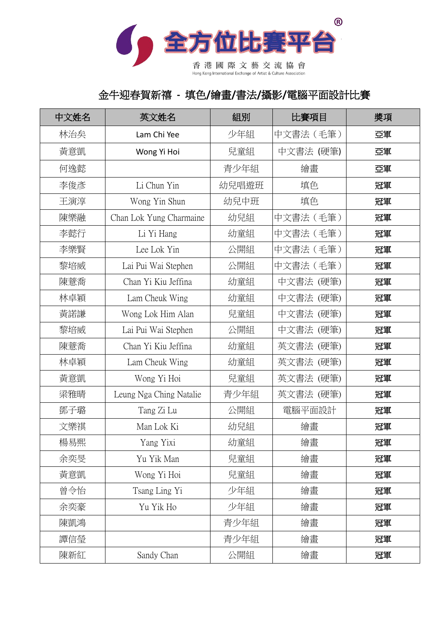

香港國際文藝交流協會

# 金牛迎春賀新禧 **-** 填色**/**繪畫**/**書法**/**攝影**/**電腦平面設計比賽

| 中文姓名 | 英文姓名                    | 組別    | 比賽項目      | 獎項 |
|------|-------------------------|-------|-----------|----|
| 林治矣  | Lam Chi Yee             | 少年組   | 中文書法 (毛筆) | 亞軍 |
| 黃意凱  | Wong Yi Hoi             | 兒童組   | 中文書法 (硬筆) | 亞軍 |
| 何逸懿  |                         | 青少年組  | 繪畫        | 亞軍 |
| 李俊彥  | Li Chun Yin             | 幼兒唱遊班 | 填色        | 冠軍 |
| 王演淳  | Wong Yin Shun           | 幼兒中班  | 填色        | 冠軍 |
| 陳樂融  | Chan Lok Yung Charmaine | 幼兒組   | 中文書法 (毛筆) | 冠軍 |
| 李懿行  | Li Yi Hang              | 幼童組   | 中文書法 (毛筆) | 冠軍 |
| 李樂賢  | Lee Lok Yin             | 公開組   | 中文書法 (毛筆) | 冠軍 |
| 黎培威  | Lai Pui Wai Stephen     | 公開組   | 中文書法(毛筆)  | 冠軍 |
| 陳薏喬  | Chan Yi Kiu Jeffina     | 幼童組   | 中文書法 (硬筆) | 冠軍 |
| 林卓穎  | Lam Cheuk Wing          | 幼童組   | 中文書法 (硬筆) | 冠軍 |
| 黃諾謙  | Wong Lok Him Alan       | 兒童組   | 中文書法 (硬筆) | 冠軍 |
| 黎培威  | Lai Pui Wai Stephen     | 公開組   | 中文書法 (硬筆) | 冠軍 |
| 陳薏喬  | Chan Yi Kiu Jeffina     | 幼童組   | 英文書法 (硬筆) | 冠軍 |
| 林卓穎  | Lam Cheuk Wing          | 幼童組   | 英文書法 (硬筆) | 冠軍 |
| 黃意凱  | Wong Yi Hoi             | 兒童組   | 英文書法 (硬筆) | 冠軍 |
| 梁雅晴  | Leung Nga Ching Natalie | 青少年組  | 英文書法 (硬筆) | 冠軍 |
| 鄧子璐  | Tang Zi Lu              | 公開組   | 電腦平面設計    | 冠軍 |
| 文樂祺  | Man Lok Ki              | 幼兒組   | 繪畫        | 冠軍 |
| 楊易熙  | Yang Yixi               | 幼童組   | 繪畫        | 冠軍 |
| 余奕旻  | Yu Yik Man              | 兒童組   | 繪畫        | 冠軍 |
| 黃意凱  | Wong Yi Hoi             | 兒童組   | 繪畫        | 冠軍 |
| 曾令怡  | Tsang Ling Yi           | 少年組   | 繪畫        | 冠軍 |
| 余奕豪  | Yu Yik Ho               | 少年組   | 繪畫        | 冠軍 |
| 陳凱鴻  |                         | 青少年組  | 繪畫        | 冠軍 |
| 譚信瑩  |                         | 青少年組  | 繪畫        | 冠軍 |
| 陳新紅  | Sandy Chan              | 公開組   | 繪畫        | 冠軍 |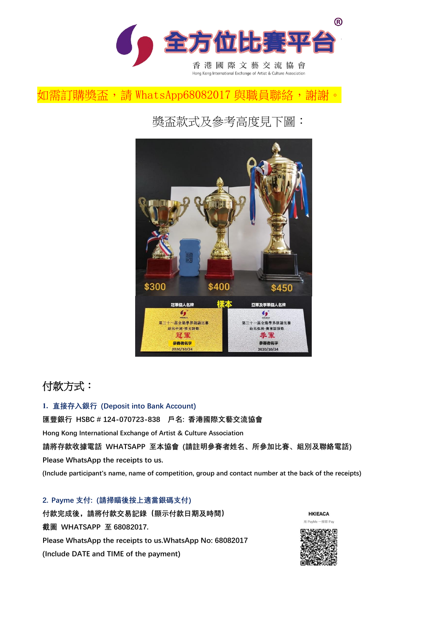

### 如需訂購獎盃, 請 WhatsApp68082017 與職員聯絡, 謝謝。

獎盃款式及參考高度見下圖:



# 付款方式:

**1. 直接存入銀行 (Deposit into Bank Account) 匯豐銀行 HSBC # 124-070723-838 戶名: 香港國際文藝交流協會 Hong Kong International Exchange of Artist & Culture Association 請將存款收據電話 WHATSAPP 至本協會 (請註明參賽者姓名、所參加比賽、組別及聯絡電話) Please WhatsApp the receipts to us. (Include participant's name, name of competition, group and contact number at the back of the receipts)**

#### **2. Payme 支付: (請掃瞄後按上適當銀碼支付)**

**付款完成後,請將付款交易記錄(顯示付款日期及時間) 截圖 WHATSAPP 至 68082017. Please WhatsApp the receipts to us.WhatsApp No: 68082017 (Include DATE and TIME of the payment)**



一掃即 Pay

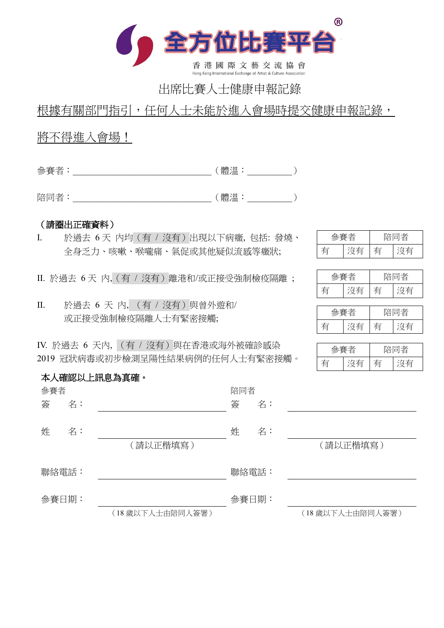

# 出席比賽人士健康申報記錄

## 根據有關部門指引,任何人士未能於進入會場時提交健康申報記錄,

### 將不得進入會場!

參賽者:\_\_\_\_\_\_\_\_\_\_\_\_\_\_\_\_\_\_\_\_\_\_\_\_\_\_\_\_\_\_\_(體溫:\_\_\_\_\_\_\_\_\_\_)

陪同者:\_\_\_\_\_\_\_\_\_\_\_\_\_\_\_\_\_\_\_\_\_\_\_\_\_\_\_\_\_\_\_(體溫:\_\_\_\_\_\_\_\_\_\_)

#### (請圈出正確資料)

本人確認以上訊息為真確。

I. 於過去 6 天 內均(有 / 沒有)出現以下病癥, 包括: 發燒、 全身乏力、咳嗽、喉嚨痛、氣促或其他疑似流感等癥狀;

II. 於過去 6 天 內,(有 / 沒有)離港和/或正接受強制檢疫隔離 ;

II. 於過去 6 天 內, (有 / 沒有)與曾外遊和/ 或正接受強制檢疫隔離人士有緊密接觸;

IV. 於過去 6 天內, (有 / 沒有)與在香港或海外被確診感染 2019 冠狀病毒或初步檢測呈陽性結果病例的任何人士有緊密接觸。

| $L_{\rm{eff}}$ |  | 一 <del>么</del> |  |
|----------------|--|----------------|--|
|                |  |                |  |

|  |  | i者<br>مسلحي |  |
|--|--|-------------|--|
|  |  |             |  |

|  |  | 陪同者 |  |
|--|--|-----|--|
|  |  |     |  |

|  |  | 司者<br>KŦ |  |
|--|--|----------|--|
|  |  |          |  |

| 參賽者   |    |                 | 陪同者   |    |                 |
|-------|----|-----------------|-------|----|-----------------|
| 簽     | 名: |                 | 簽     | 名: |                 |
| 姓     | 名: | (請以正楷填寫)        | 姓     | 名: | (請以正楷填寫)        |
| 聯絡電話: |    |                 | 聯絡電話: |    |                 |
| 參賽日期: |    |                 | 參賽日期: |    |                 |
|       |    | (18歲以下人士由陪同人簽署) |       |    | (18歲以下人士由陪同人簽署) |